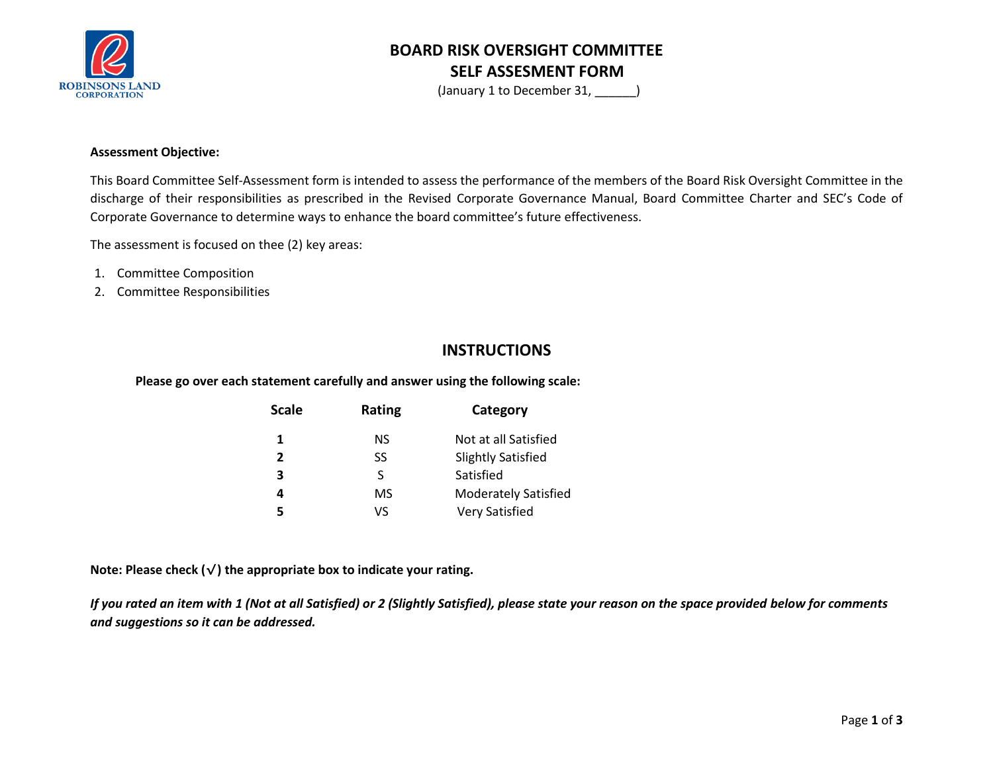

# **BOARD RISK OVERSIGHT COMMITTEE SELF ASSESMENT FORM**

(January 1 to December 31, \_\_\_\_\_\_)

#### **Assessment Objective:**

This Board Committee Self-Assessment form is intended to assess the performance of the members of the Board Risk Oversight Committee in the discharge of their responsibilities as prescribed in the Revised Corporate Governance Manual, Board Committee Charter and SEC's Code of Corporate Governance to determine ways to enhance the board committee's future effectiveness.

The assessment is focused on thee (2) key areas:

- 1. Committee Composition
- 2. Committee Responsibilities

### **INSTRUCTIONS**

**Please go over each statement carefully and answer using the following scale:**

| Scale          | Rating | Category                    |  |  |  |
|----------------|--------|-----------------------------|--|--|--|
| 1              | NS.    | Not at all Satisfied        |  |  |  |
| $\overline{2}$ | SS     | <b>Slightly Satisfied</b>   |  |  |  |
| 3              | S      | Satisfied                   |  |  |  |
| 4              | MS     | <b>Moderately Satisfied</b> |  |  |  |
| 5              | VS     | <b>Very Satisfied</b>       |  |  |  |

**Note: Please check (**√**) the appropriate box to indicate your rating.**

*If you rated an item with 1 (Not at all Satisfied) or 2 (Slightly Satisfied), please state your reason on the space provided below for comments and suggestions so it can be addressed.*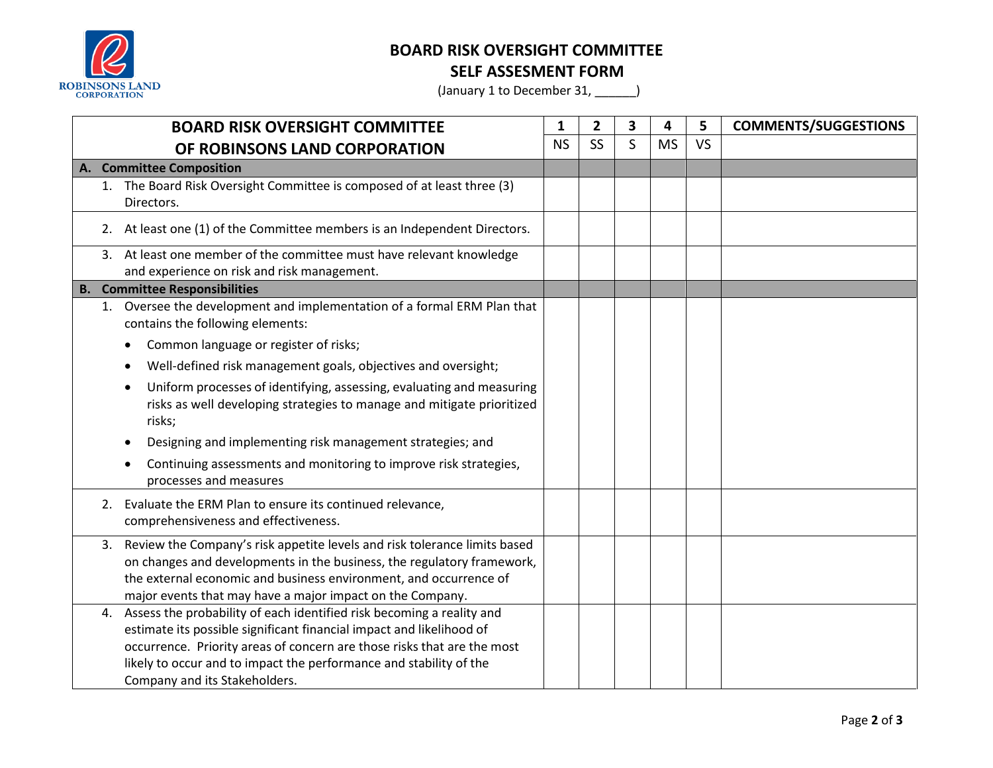

## **BOARD RISK OVERSIGHT COMMITTEE**

**SELF ASSESMENT FORM**

(January 1 to December 31, \_\_\_\_\_\_)

| <b>BOARD RISK OVERSIGHT COMMITTEE</b> |                              | 1                                                                                                                                                                                                                                                                                                                                  | $\overline{2}$ | 3 | 4         | 5         | <b>COMMENTS/SUGGESTIONS</b> |  |
|---------------------------------------|------------------------------|------------------------------------------------------------------------------------------------------------------------------------------------------------------------------------------------------------------------------------------------------------------------------------------------------------------------------------|----------------|---|-----------|-----------|-----------------------------|--|
| OF ROBINSONS LAND CORPORATION         |                              | <b>NS</b>                                                                                                                                                                                                                                                                                                                          | <b>SS</b>      | S | <b>MS</b> | <b>VS</b> |                             |  |
|                                       | <b>Committee Composition</b> |                                                                                                                                                                                                                                                                                                                                    |                |   |           |           |                             |  |
|                                       |                              | 1. The Board Risk Oversight Committee is composed of at least three (3)<br>Directors.                                                                                                                                                                                                                                              |                |   |           |           |                             |  |
|                                       |                              | 2. At least one (1) of the Committee members is an Independent Directors.                                                                                                                                                                                                                                                          |                |   |           |           |                             |  |
|                                       |                              | 3. At least one member of the committee must have relevant knowledge<br>and experience on risk and risk management.                                                                                                                                                                                                                |                |   |           |           |                             |  |
|                                       |                              | <b>B.</b> Committee Responsibilities                                                                                                                                                                                                                                                                                               |                |   |           |           |                             |  |
|                                       |                              | 1. Oversee the development and implementation of a formal ERM Plan that<br>contains the following elements:                                                                                                                                                                                                                        |                |   |           |           |                             |  |
|                                       |                              | Common language or register of risks;                                                                                                                                                                                                                                                                                              |                |   |           |           |                             |  |
|                                       |                              | Well-defined risk management goals, objectives and oversight;                                                                                                                                                                                                                                                                      |                |   |           |           |                             |  |
|                                       |                              | Uniform processes of identifying, assessing, evaluating and measuring<br>risks as well developing strategies to manage and mitigate prioritized<br>risks;                                                                                                                                                                          |                |   |           |           |                             |  |
|                                       |                              | Designing and implementing risk management strategies; and                                                                                                                                                                                                                                                                         |                |   |           |           |                             |  |
|                                       |                              | Continuing assessments and monitoring to improve risk strategies,<br>processes and measures                                                                                                                                                                                                                                        |                |   |           |           |                             |  |
|                                       | 2.                           | Evaluate the ERM Plan to ensure its continued relevance,<br>comprehensiveness and effectiveness.                                                                                                                                                                                                                                   |                |   |           |           |                             |  |
|                                       |                              | 3. Review the Company's risk appetite levels and risk tolerance limits based<br>on changes and developments in the business, the regulatory framework,<br>the external economic and business environment, and occurrence of<br>major events that may have a major impact on the Company.                                           |                |   |           |           |                             |  |
|                                       |                              | 4. Assess the probability of each identified risk becoming a reality and<br>estimate its possible significant financial impact and likelihood of<br>occurrence. Priority areas of concern are those risks that are the most<br>likely to occur and to impact the performance and stability of the<br>Company and its Stakeholders. |                |   |           |           |                             |  |